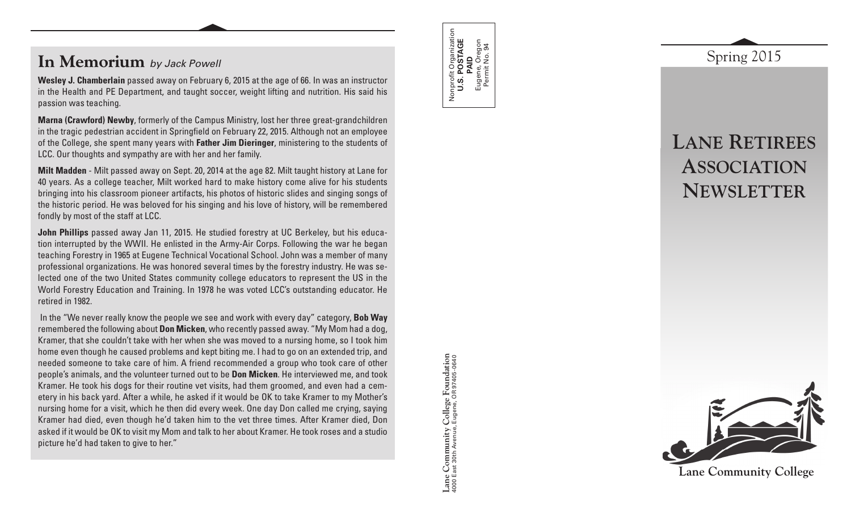# **In Memorium** *by Jack Powell*

**Wesley J. Chamberlain** passed away on February 6, 2015 at the age of 66. In was an instructor in the Health and PE Department, and taught soccer, weight lifting and nutrition. His said his passion was teaching.

**Marna (Crawford) Newby**, formerly of the Campus Ministry, lost her three great-grandchildren in the tragic pedestrian accident in Springfield on February 22, 2015. Although not an employee of the College, she spent many years with **Father Jim Dieringer**, ministering to the students of LCC. Our thoughts and sympathy are with her and her family.

**Milt Madden** - Milt passed away on Sept. 20, 2014 at the age 82. Milt taught history at Lane for 40 years. As a college teacher, Milt worked hard to make history come alive for his students bringing into his classroom pioneer artifacts, his photos of historic slides and singing songs of the historic period. He was beloved for his singing and his love of history, will be remembered fondly by most of the staff at LCC.

**John Phillips** passed away Jan 11, 2015. He studied forestry at UC Berkeley, but his education interrupted by the WWII. He enlisted in the Army-Air Corps. Following the war he began teaching Forestry in 1965 at Eugene Technical Vocational School. John was a member of many professional organizations. He was honored several times by the forestry industry. He was selected one of the two United States community college educators to represent the US in the World Forestry Education and Training. In 1978 he was voted LCC's outstanding educator. He retired in 1982.

 In the "We never really know the people we see and work with every day" category, **Bob Way**  remembered the following about **Don Micken**, who recently passed away. "My Mom had a dog, Kramer, that she couldn't take with her when she was moved to a nursing home, so I took him home even though he caused problems and kept biting me. I had to go on an extended trip, and needed someone to take care of him. A friend recommended a group who took care of other people's animals, and the volunteer turned out to be **Don Micken**. He interviewed me, and took Kramer. He took his dogs for their routine vet visits, had them groomed, and even had a cemetery in his back yard. After a while, he asked if it would be OK to take Kramer to my Mother's nursing home for a visit, which he then did every week. One day Don called me crying, saying Kramer had died, even though he'd taken him to the vet three times. After Kramer died, Don asked if it would be OK to visit my Mom and talk to her about Kramer. He took roses and a studio picture he'd had taken to give to her."

Lane Community College Foundation<br>4000 East 30th Avenue, Eugene, OR 97405-0640 **Lane Community College Foundation** 4000 East 30th Avenue, Eugene, OR 97405-0640

Nonprofit Organization **U.S. POSTAGE**  Nonprofit Organization<br>**U.S. POSTAGE**<br>**PAID**<br>Eugene, Oregon<br>Permit No. 94 Eugene, Oregon Permit No. 94